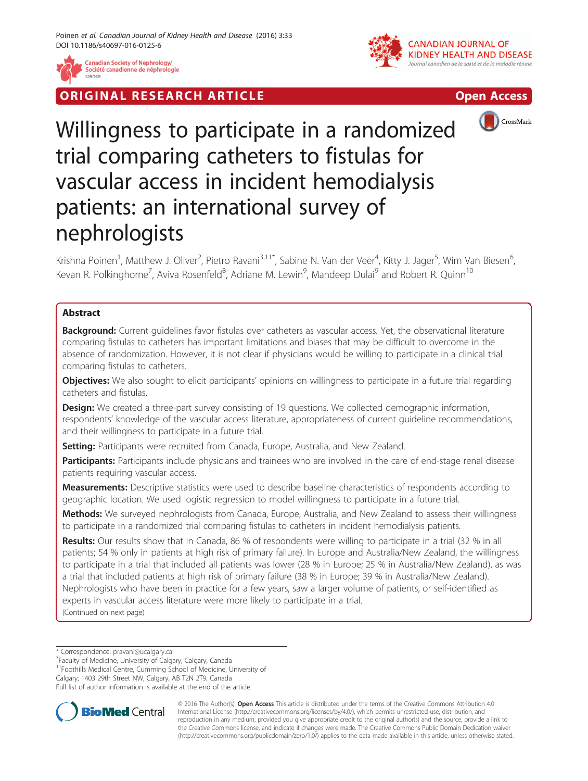

**Canadian Society of Nephrology/** Société canadienne de néphrologie

**RIGINAL RESEARCH ARTICLE CONSIDERING ACCESS** 





# Willingness to participate in a randomized trial comparing catheters to fistulas for vascular access in incident hemodialysis patients: an international survey of nephrologists

Krishna Poinen<sup>1</sup>, Matthew J. Oliver<sup>2</sup>, Pietro Ravani<sup>3,11\*</sup>, Sabine N. Van der Veer<sup>4</sup>, Kitty J. Jager<sup>5</sup>, Wim Van Biesen<sup>6</sup> , Kevan R. Polkinghorne<sup>7</sup>, Aviva Rosenfeld<sup>8</sup>, Adriane M. Lewin<sup>9</sup>, Mandeep Dulai<sup>9</sup> and Robert R. Quinn<sup>10</sup>

# Abstract

Background: Current quidelines favor fistulas over catheters as vascular access. Yet, the observational literature comparing fistulas to catheters has important limitations and biases that may be difficult to overcome in the absence of randomization. However, it is not clear if physicians would be willing to participate in a clinical trial comparing fistulas to catheters.

**Objectives:** We also sought to elicit participants' opinions on willingness to participate in a future trial regarding catheters and fistulas.

**Design:** We created a three-part survey consisting of 19 questions. We collected demographic information, respondents' knowledge of the vascular access literature, appropriateness of current guideline recommendations, and their willingness to participate in a future trial.

Setting: Participants were recruited from Canada, Europe, Australia, and New Zealand.

Participants: Participants include physicians and trainees who are involved in the care of end-stage renal disease patients requiring vascular access.

Measurements: Descriptive statistics were used to describe baseline characteristics of respondents according to geographic location. We used logistic regression to model willingness to participate in a future trial.

Methods: We surveyed nephrologists from Canada, Europe, Australia, and New Zealand to assess their willingness to participate in a randomized trial comparing fistulas to catheters in incident hemodialysis patients.

Results: Our results show that in Canada, 86 % of respondents were willing to participate in a trial (32 % in all patients; 54 % only in patients at high risk of primary failure). In Europe and Australia/New Zealand, the willingness to participate in a trial that included all patients was lower (28 % in Europe; 25 % in Australia/New Zealand), as was a trial that included patients at high risk of primary failure (38 % in Europe; 39 % in Australia/New Zealand). Nephrologists who have been in practice for a few years, saw a larger volume of patients, or self-identified as experts in vascular access literature were more likely to participate in a trial. (Continued on next page)

Full list of author information is available at the end of the article



© 2016 The Author(s). Open Access This article is distributed under the terms of the Creative Commons Attribution 4.0 International License [\(http://creativecommons.org/licenses/by/4.0/](http://creativecommons.org/licenses/by/4.0/)), which permits unrestricted use, distribution, and reproduction in any medium, provided you give appropriate credit to the original author(s) and the source, provide a link to the Creative Commons license, and indicate if changes were made. The Creative Commons Public Domain Dedication waiver [\(http://creativecommons.org/publicdomain/zero/1.0/](http://creativecommons.org/publicdomain/zero/1.0/)) applies to the data made available in this article, unless otherwise stated.

<sup>\*</sup> Correspondence: [pravani@ucalgary.ca](mailto:pravani@ucalgary.ca) <sup>3</sup>

<sup>&</sup>lt;sup>3</sup>Faculty of Medicine, University of Calgary, Calgary, Canada

<sup>11</sup>Foothills Medical Centre, Cumming School of Medicine, University of

Calgary, 1403 29th Street NW, Calgary, AB T2N 2T9, Canada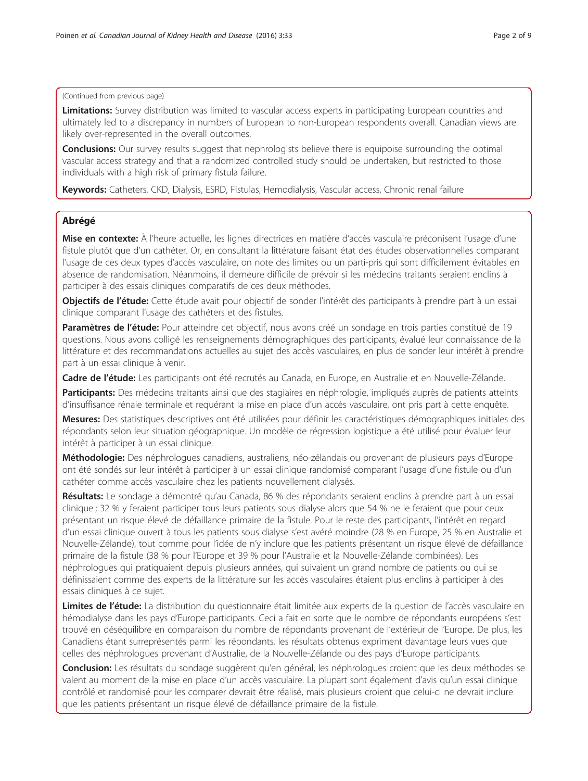## (Continued from previous page)

Limitations: Survey distribution was limited to vascular access experts in participating European countries and ultimately led to a discrepancy in numbers of European to non-European respondents overall. Canadian views are likely over-represented in the overall outcomes.

**Conclusions:** Our survey results suggest that nephrologists believe there is equipoise surrounding the optimal vascular access strategy and that a randomized controlled study should be undertaken, but restricted to those individuals with a high risk of primary fistula failure.

Keywords: Catheters, CKD, Dialysis, ESRD, Fistulas, Hemodialysis, Vascular access, Chronic renal failure

## Abrégé

Mise en contexte: À l'heure actuelle, les lignes directrices en matière d'accès vasculaire préconisent l'usage d'une fistule plutôt que d'un cathéter. Or, en consultant la littérature faisant état des études observationnelles comparant l'usage de ces deux types d'accès vasculaire, on note des limites ou un parti-pris qui sont difficilement évitables en absence de randomisation. Néanmoins, il demeure difficile de prévoir si les médecins traitants seraient enclins à participer à des essais cliniques comparatifs de ces deux méthodes.

Objectifs de l'étude: Cette étude avait pour objectif de sonder l'intérêt des participants à prendre part à un essai clinique comparant l'usage des cathéters et des fistules.

Paramètres de l'étude: Pour atteindre cet objectif, nous avons créé un sondage en trois parties constitué de 19 questions. Nous avons colligé les renseignements démographiques des participants, évalué leur connaissance de la littérature et des recommandations actuelles au sujet des accès vasculaires, en plus de sonder leur intérêt à prendre part à un essai clinique à venir.

Cadre de l'étude: Les participants ont été recrutés au Canada, en Europe, en Australie et en Nouvelle-Zélande.

Participants: Des médecins traitants ainsi que des stagiaires en néphrologie, impliqués auprès de patients atteints d'insuffisance rénale terminale et requérant la mise en place d'un accès vasculaire, ont pris part à cette enquête.

Mesures: Des statistiques descriptives ont été utilisées pour définir les caractéristiques démographiques initiales des répondants selon leur situation géographique. Un modèle de régression logistique a été utilisé pour évaluer leur intérêt à participer à un essai clinique.

Méthodologie: Des néphrologues canadiens, australiens, néo-zélandais ou provenant de plusieurs pays d'Europe ont été sondés sur leur intérêt à participer à un essai clinique randomisé comparant l'usage d'une fistule ou d'un cathéter comme accès vasculaire chez les patients nouvellement dialysés.

Résultats: Le sondage a démontré qu'au Canada, 86 % des répondants seraient enclins à prendre part à un essai clinique ; 32 % y feraient participer tous leurs patients sous dialyse alors que 54 % ne le feraient que pour ceux présentant un risque élevé de défaillance primaire de la fistule. Pour le reste des participants, l'intérêt en regard d'un essai clinique ouvert à tous les patients sous dialyse s'est avéré moindre (28 % en Europe, 25 % en Australie et Nouvelle-Zélande), tout comme pour l'idée de n'y inclure que les patients présentant un risque élevé de défaillance primaire de la fistule (38 % pour l'Europe et 39 % pour l'Australie et la Nouvelle-Zélande combinées). Les néphrologues qui pratiquaient depuis plusieurs années, qui suivaient un grand nombre de patients ou qui se définissaient comme des experts de la littérature sur les accès vasculaires étaient plus enclins à participer à des essais cliniques à ce sujet.

Limites de l'étude: La distribution du questionnaire était limitée aux experts de la question de l'accès vasculaire en hémodialyse dans les pays d'Europe participants. Ceci a fait en sorte que le nombre de répondants européens s'est trouvé en déséquilibre en comparaison du nombre de répondants provenant de l'extérieur de l'Europe. De plus, les Canadiens étant surreprésentés parmi les répondants, les résultats obtenus expriment davantage leurs vues que celles des néphrologues provenant d'Australie, de la Nouvelle-Zélande ou des pays d'Europe participants.

Conclusion: Les résultats du sondage suggèrent qu'en général, les néphrologues croient que les deux méthodes se valent au moment de la mise en place d'un accès vasculaire. La plupart sont également d'avis qu'un essai clinique contrôlé et randomisé pour les comparer devrait être réalisé, mais plusieurs croient que celui-ci ne devrait inclure que les patients présentant un risque élevé de défaillance primaire de la fistule.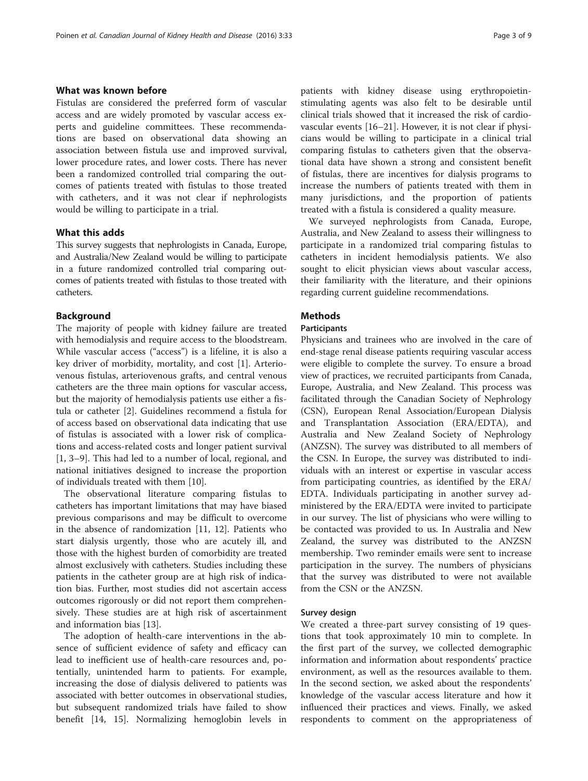## What was known before

Fistulas are considered the preferred form of vascular access and are widely promoted by vascular access experts and guideline committees. These recommendations are based on observational data showing an association between fistula use and improved survival, lower procedure rates, and lower costs. There has never been a randomized controlled trial comparing the outcomes of patients treated with fistulas to those treated with catheters, and it was not clear if nephrologists would be willing to participate in a trial.

## What this adds

This survey suggests that nephrologists in Canada, Europe, and Australia/New Zealand would be willing to participate in a future randomized controlled trial comparing outcomes of patients treated with fistulas to those treated with catheters.

#### Background

The majority of people with kidney failure are treated with hemodialysis and require access to the bloodstream. While vascular access ("access") is a lifeline, it is also a key driver of morbidity, mortality, and cost [[1](#page-8-0)]. Arteriovenous fistulas, arteriovenous grafts, and central venous catheters are the three main options for vascular access, but the majority of hemodialysis patients use either a fistula or catheter [\[2](#page-8-0)]. Guidelines recommend a fistula for of access based on observational data indicating that use of fistulas is associated with a lower risk of complications and access-related costs and longer patient survival [[1, 3](#page-8-0)–[9\]](#page-8-0). This had led to a number of local, regional, and national initiatives designed to increase the proportion of individuals treated with them [\[10\]](#page-8-0).

The observational literature comparing fistulas to catheters has important limitations that may have biased previous comparisons and may be difficult to overcome in the absence of randomization [\[11, 12](#page-8-0)]. Patients who start dialysis urgently, those who are acutely ill, and those with the highest burden of comorbidity are treated almost exclusively with catheters. Studies including these patients in the catheter group are at high risk of indication bias. Further, most studies did not ascertain access outcomes rigorously or did not report them comprehensively. These studies are at high risk of ascertainment and information bias [\[13\]](#page-8-0).

The adoption of health-care interventions in the absence of sufficient evidence of safety and efficacy can lead to inefficient use of health-care resources and, potentially, unintended harm to patients. For example, increasing the dose of dialysis delivered to patients was associated with better outcomes in observational studies, but subsequent randomized trials have failed to show benefit [\[14](#page-8-0), [15\]](#page-8-0). Normalizing hemoglobin levels in patients with kidney disease using erythropoietinstimulating agents was also felt to be desirable until clinical trials showed that it increased the risk of cardiovascular events [[16](#page-8-0)–[21\]](#page-8-0). However, it is not clear if physicians would be willing to participate in a clinical trial comparing fistulas to catheters given that the observational data have shown a strong and consistent benefit of fistulas, there are incentives for dialysis programs to increase the numbers of patients treated with them in many jurisdictions, and the proportion of patients treated with a fistula is considered a quality measure.

We surveyed nephrologists from Canada, Europe, Australia, and New Zealand to assess their willingness to participate in a randomized trial comparing fistulas to catheters in incident hemodialysis patients. We also sought to elicit physician views about vascular access, their familiarity with the literature, and their opinions regarding current guideline recommendations.

## **Methods**

## Participants

Physicians and trainees who are involved in the care of end-stage renal disease patients requiring vascular access were eligible to complete the survey. To ensure a broad view of practices, we recruited participants from Canada, Europe, Australia, and New Zealand. This process was facilitated through the Canadian Society of Nephrology (CSN), European Renal Association/European Dialysis and Transplantation Association (ERA/EDTA), and Australia and New Zealand Society of Nephrology (ANZSN). The survey was distributed to all members of the CSN. In Europe, the survey was distributed to individuals with an interest or expertise in vascular access from participating countries, as identified by the ERA/ EDTA. Individuals participating in another survey administered by the ERA/EDTA were invited to participate in our survey. The list of physicians who were willing to be contacted was provided to us. In Australia and New Zealand, the survey was distributed to the ANZSN membership. Two reminder emails were sent to increase participation in the survey. The numbers of physicians that the survey was distributed to were not available from the CSN or the ANZSN.

#### Survey design

We created a three-part survey consisting of 19 questions that took approximately 10 min to complete. In the first part of the survey, we collected demographic information and information about respondents' practice environment, as well as the resources available to them. In the second section, we asked about the respondents' knowledge of the vascular access literature and how it influenced their practices and views. Finally, we asked respondents to comment on the appropriateness of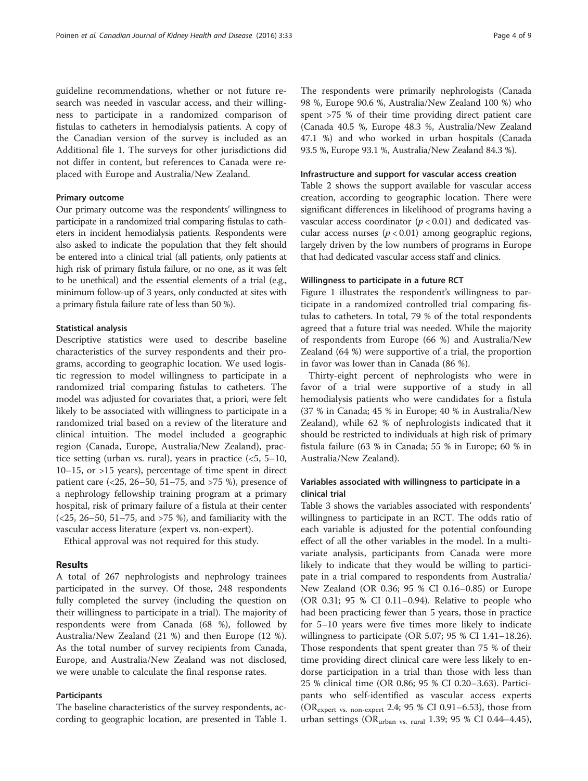guideline recommendations, whether or not future research was needed in vascular access, and their willingness to participate in a randomized comparison of fistulas to catheters in hemodialysis patients. A copy of the Canadian version of the survey is included as an Additional file [1](#page-7-0). The surveys for other jurisdictions did not differ in content, but references to Canada were replaced with Europe and Australia/New Zealand.

## Primary outcome

Our primary outcome was the respondents' willingness to participate in a randomized trial comparing fistulas to catheters in incident hemodialysis patients. Respondents were also asked to indicate the population that they felt should be entered into a clinical trial (all patients, only patients at high risk of primary fistula failure, or no one, as it was felt to be unethical) and the essential elements of a trial (e.g., minimum follow-up of 3 years, only conducted at sites with a primary fistula failure rate of less than 50 %).

#### Statistical analysis

Descriptive statistics were used to describe baseline characteristics of the survey respondents and their programs, according to geographic location. We used logistic regression to model willingness to participate in a randomized trial comparing fistulas to catheters. The model was adjusted for covariates that, a priori, were felt likely to be associated with willingness to participate in a randomized trial based on a review of the literature and clinical intuition. The model included a geographic region (Canada, Europe, Australia/New Zealand), practice setting (urban vs. rural), years in practice  $\langle 5, 5-10, 5-1 \rangle$ 10–15, or >15 years), percentage of time spent in direct patient care (<25, 26–50, 51–75, and >75 %), presence of a nephrology fellowship training program at a primary hospital, risk of primary failure of a fistula at their center (<25, 26–50, 51–75, and >75 %), and familiarity with the vascular access literature (expert vs. non-expert).

Ethical approval was not required for this study.

## Results

A total of 267 nephrologists and nephrology trainees participated in the survey. Of those, 248 respondents fully completed the survey (including the question on their willingness to participate in a trial). The majority of respondents were from Canada (68 %), followed by Australia/New Zealand (21 %) and then Europe (12 %). As the total number of survey recipients from Canada, Europe, and Australia/New Zealand was not disclosed, we were unable to calculate the final response rates.

#### Participants

The baseline characteristics of the survey respondents, according to geographic location, are presented in Table [1](#page-4-0).

The respondents were primarily nephrologists (Canada 98 %, Europe 90.6 %, Australia/New Zealand 100 %) who spent >75 % of their time providing direct patient care (Canada 40.5 %, Europe 48.3 %, Australia/New Zealand 47.1 %) and who worked in urban hospitals (Canada 93.5 %, Europe 93.1 %, Australia/New Zealand 84.3 %).

#### Infrastructure and support for vascular access creation

Table [2](#page-4-0) shows the support available for vascular access creation, according to geographic location. There were significant differences in likelihood of programs having a vascular access coordinator  $(p < 0.01)$  and dedicated vascular access nurses  $(p < 0.01)$  among geographic regions, largely driven by the low numbers of programs in Europe that had dedicated vascular access staff and clinics.

#### Willingness to participate in a future RCT

Figure [1](#page-5-0) illustrates the respondent's willingness to participate in a randomized controlled trial comparing fistulas to catheters. In total, 79 % of the total respondents agreed that a future trial was needed. While the majority of respondents from Europe (66 %) and Australia/New Zealand (64 %) were supportive of a trial, the proportion in favor was lower than in Canada (86 %).

Thirty-eight percent of nephrologists who were in favor of a trial were supportive of a study in all hemodialysis patients who were candidates for a fistula (37 % in Canada; 45 % in Europe; 40 % in Australia/New Zealand), while 62 % of nephrologists indicated that it should be restricted to individuals at high risk of primary fistula failure (63 % in Canada; 55 % in Europe; 60 % in Australia/New Zealand).

## Variables associated with willingness to participate in a clinical trial

Table [3](#page-5-0) shows the variables associated with respondents' willingness to participate in an RCT. The odds ratio of each variable is adjusted for the potential confounding effect of all the other variables in the model. In a multivariate analysis, participants from Canada were more likely to indicate that they would be willing to participate in a trial compared to respondents from Australia/ New Zealand (OR 0.36; 95 % CI 0.16–0.85) or Europe (OR 0.31; 95 % CI 0.11–0.94). Relative to people who had been practicing fewer than 5 years, those in practice for 5–10 years were five times more likely to indicate willingness to participate (OR 5.07; 95 % CI 1.41–18.26). Those respondents that spent greater than 75 % of their time providing direct clinical care were less likely to endorse participation in a trial than those with less than 25 % clinical time (OR 0.86; 95 % CI 0.20–3.63). Participants who self-identified as vascular access experts  $(OR_{expert \ vs. \ non-expert} 2.4; 95 % CI 0.91–6.53), those from$ urban settings (OR<sub>urban vs. rural</sub> 1.39; 95 % CI 0.44–4.45),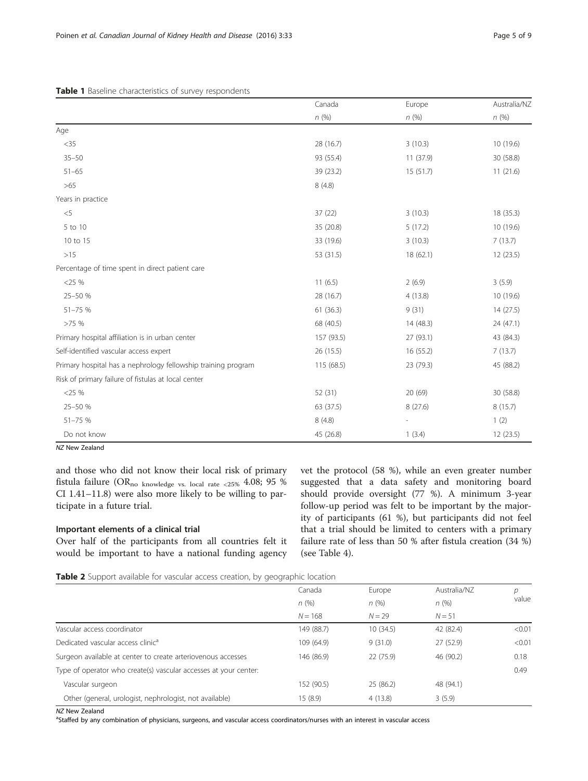|                                                               | Canada<br>$n \ (\%)$ | Europe<br>n(%) | Australia/NZ<br>n(%) |
|---------------------------------------------------------------|----------------------|----------------|----------------------|
|                                                               |                      |                |                      |
| Age                                                           |                      |                |                      |
| $<$ 35                                                        | 28 (16.7)            | 3(10.3)        | 10 (19.6)            |
| $35 - 50$                                                     | 93 (55.4)            | 11 (37.9)      | 30 (58.8)            |
| $51 - 65$                                                     | 39 (23.2)            | 15 (51.7)      | 11(21.6)             |
| $>65$                                                         | 8(4.8)               |                |                      |
| Years in practice                                             |                      |                |                      |
| $< 5$                                                         | 37 (22)              | 3(10.3)        | 18(35.3)             |
| 5 to 10                                                       | 35 (20.8)            | 5(17.2)        | 10 (19.6)            |
| 10 to 15                                                      | 33 (19.6)            | 3(10.3)        | 7(13.7)              |
| >15                                                           | 53 (31.5)            | 18(62.1)       | 12(23.5)             |
| Percentage of time spent in direct patient care               |                      |                |                      |
| $<$ 25 %                                                      | 11(6.5)              | 2(6.9)         | 3(5.9)               |
| 25-50 %                                                       | 28 (16.7)            | 4(13.8)        | 10(19.6)             |
| 51-75 %                                                       | 61 (36.3)            | 9(31)          | 14(27.5)             |
| >75%                                                          | 68 (40.5)            | 14(48.3)       | 24(47.1)             |
| Primary hospital affiliation is in urban center               | 157 (93.5)           | 27 (93.1)      | 43 (84.3)            |
| Self-identified vascular access expert                        | 26 (15.5)            | 16(55.2)       | 7(13.7)              |
| Primary hospital has a nephrology fellowship training program | 115 (68.5)           | 23 (79.3)      | 45 (88.2)            |
| Risk of primary failure of fistulas at local center           |                      |                |                      |
| $<$ 25 %                                                      | 52(31)               | 20(69)         | 30 (58.8)            |
| 25-50 %                                                       | 63 (37.5)            | 8(27.6)        | 8(15.7)              |
| 51-75 %                                                       | 8(4.8)               |                | 1(2)                 |
| Do not know                                                   | 45 (26.8)            | 1(3.4)         | 12 (23.5)            |

#### <span id="page-4-0"></span>Table 1 Baseline characteristics of survey respondents

NZ New Zealand

and those who did not know their local risk of primary fistula failure (OR<sub>no knowledge vs. local rate <25%</sub> 4.08; 95 % CI 1.41–11.8) were also more likely to be willing to participate in a future trial.

## Important elements of a clinical trial

Over half of the participants from all countries felt it would be important to have a national funding agency vet the protocol (58 %), while an even greater number suggested that a data safety and monitoring board should provide oversight (77 %). A minimum 3-year follow-up period was felt to be important by the majority of participants (61 %), but participants did not feel that a trial should be limited to centers with a primary failure rate of less than 50 % after fistula creation (34 %) (see Table [4\)](#page-6-0).

| Table 2 Support available for vascular access creation, by geographic location |  |  |  |
|--------------------------------------------------------------------------------|--|--|--|
|--------------------------------------------------------------------------------|--|--|--|

|                                                                  | Canada<br>n(%)<br>$N = 168$ | Europe<br>n(%) | Australia/NZ<br>n(%)<br>$N = 51$ | р<br>value |
|------------------------------------------------------------------|-----------------------------|----------------|----------------------------------|------------|
|                                                                  |                             |                |                                  |            |
|                                                                  |                             | $N = 29$       |                                  |            |
| Vascular access coordinator                                      | 149 (88.7)                  | 10(34.5)       | 42 (82.4)                        | < 0.01     |
| Dedicated vascular access clinic <sup>a</sup>                    | 109 (64.9)                  | 9(31.0)        | 27 (52.9)                        | < 0.01     |
| Surgeon available at center to create arteriovenous accesses     | 146 (86.9)                  | 22 (75.9)      | 46 (90.2)                        | 0.18       |
| Type of operator who create(s) vascular accesses at your center: |                             |                |                                  | 0.49       |
| Vascular surgeon                                                 | 152 (90.5)                  | 25(86.2)       | 48 (94.1)                        |            |
| Other (general, urologist, nephrologist, not available)          | 15(8.9)                     | 4(13.8)        | 3(5.9)                           |            |

NZ New Zealand

astaffed by any combination of physicians, surgeons, and vascular access coordinators/nurses with an interest in vascular access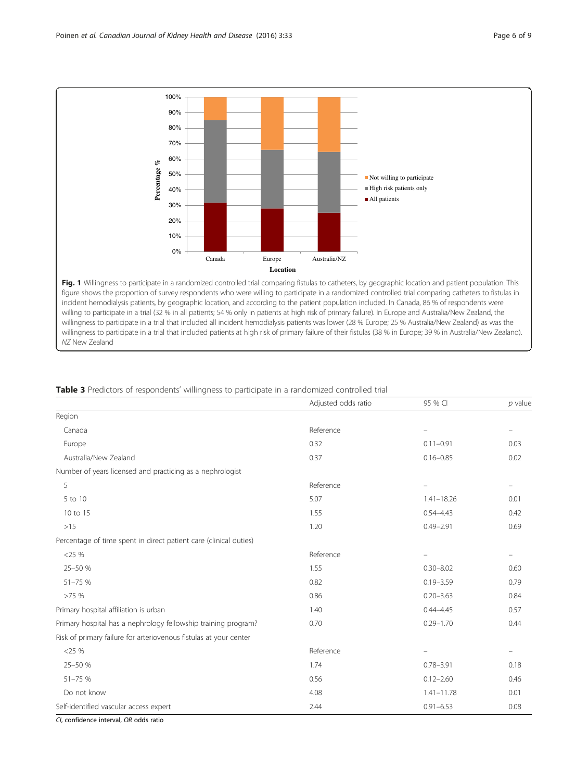<span id="page-5-0"></span>

Fig. 1 Willingness to participate in a randomized controlled trial comparing fistulas to catheters, by geographic location and patient population. This figure shows the proportion of survey respondents who were willing to participate in a randomized controlled trial comparing catheters to fistulas in incident hemodialysis patients, by geographic location, and according to the patient population included. In Canada, 86 % of respondents were willing to participate in a trial (32 % in all patients; 54 % only in patients at high risk of primary failure). In Europe and Australia/New Zealand, the willingness to participate in a trial that included all incident hemodialysis patients was lower (28 % Europe; 25 % Australia/New Zealand) as was the willingness to participate in a trial that included patients at high risk of primary failure of their fistulas (38 % in Europe; 39 % in Australia/New Zealand). NZ New Zealand

|                                                                   | Adjusted odds ratio | 95 % CI        | $p$ value                      |
|-------------------------------------------------------------------|---------------------|----------------|--------------------------------|
| Region                                                            |                     |                |                                |
| Canada                                                            | Reference           |                |                                |
| Europe                                                            | 0.32                | $0.11 - 0.91$  | 0.03                           |
| Australia/New Zealand                                             | 0.37                | $0.16 - 0.85$  | 0.02                           |
| Number of years licensed and practicing as a nephrologist         |                     |                |                                |
| 5                                                                 | Reference           |                |                                |
| 5 to 10                                                           | 5.07                | $1.41 - 18.26$ | 0.01                           |
| 10 to 15                                                          | 1.55                | $0.54 - 4.43$  | 0.42                           |
| >15                                                               | 1.20                | $0.49 - 2.91$  | 0.69                           |
| Percentage of time spent in direct patient care (clinical duties) |                     |                |                                |
| $<$ 25 %                                                          | Reference           |                |                                |
| 25-50 %                                                           | 1.55                | $0.30 - 8.02$  | 0.60                           |
| 51-75 %                                                           | 0.82                | $0.19 - 3.59$  | 0.79                           |
| >75%                                                              | 0.86                | $0.20 - 3.63$  | 0.84                           |
| Primary hospital affiliation is urban                             | 1.40                | $0.44 - 4.45$  | 0.57                           |
| Primary hospital has a nephrology fellowship training program?    | 0.70                | $0.29 - 1.70$  | 0.44                           |
| Risk of primary failure for arteriovenous fistulas at your center |                     |                |                                |
| $<$ 25 %                                                          | Reference           |                | $\qquad \qquad \longleftarrow$ |
| 25-50 %                                                           | 1.74                | $0.78 - 3.91$  | 0.18                           |
| 51-75 %                                                           | 0.56                | $0.12 - 2.60$  | 0.46                           |
| Do not know                                                       | 4.08                | $1.41 - 11.78$ | 0.01                           |
| Self-identified vascular access expert                            | 2.44                | $0.91 - 6.53$  | 0.08                           |

## Table 3 Predictors of respondents' willingness to participate in a randomized controlled trial

CI, confidence interval, OR odds ratio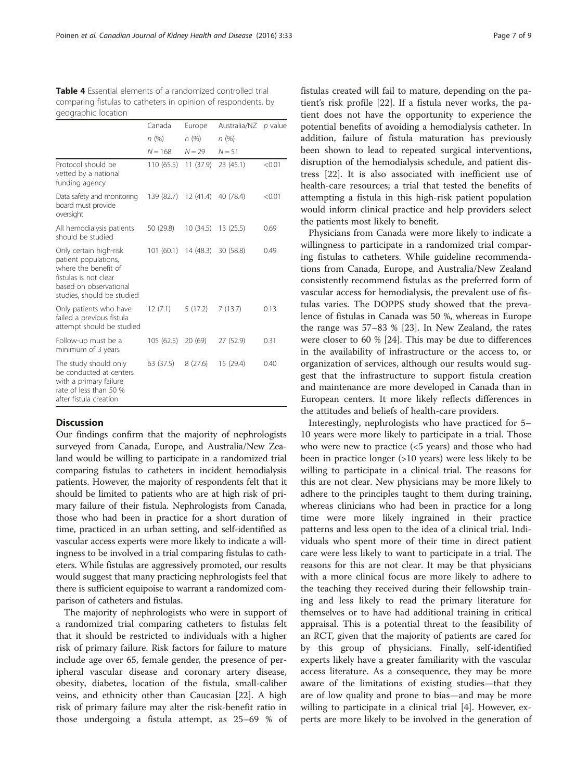<span id="page-6-0"></span>

| <b>Table 4</b> Essential elements of a randomized controlled trial |
|--------------------------------------------------------------------|
| comparing fistulas to catheters in opinion of respondents, by      |
| geographic location                                                |

|                                                                                                                                                         | Canada                         | Europe              | Australia/NZ p value |        |
|---------------------------------------------------------------------------------------------------------------------------------------------------------|--------------------------------|---------------------|----------------------|--------|
|                                                                                                                                                         | n(%)                           | n(%)                | n(%)                 |        |
|                                                                                                                                                         | $N = 168$                      | $N = 29$            | $N = 51$             |        |
| Protocol should be<br>vetted by a national<br>funding agency                                                                                            | 110 (65.5)                     | 11 (37.9)           | 23(45.1)             | < 0.01 |
| Data safety and monitoring<br>board must provide<br>oversight                                                                                           | 139 (82.7) 12 (41.4) 40 (78.4) |                     |                      | < 0.01 |
| All hemodialysis patients<br>should be studied                                                                                                          | 50 (29.8)                      | 10 (34.5) 13 (25.5) |                      | 0.69   |
| Only certain high-risk<br>patient populations,<br>where the benefit of<br>fistulas is not clear<br>based on observational<br>studies, should be studied | 101(60.1)                      | 14 (48.3) 30 (58.8) |                      | 0.49   |
| Only patients who have<br>failed a previous fistula<br>attempt should be studied                                                                        | 12(7.1)                        | 5 (17.2)            | 7(13.7)              | 0.13   |
| Follow-up must be a<br>minimum of 3 years                                                                                                               | 105 (62.5)                     | 20 (69)             | 27 (52.9)            | 0.31   |
| The study should only<br>be conducted at centers<br>with a primary failure<br>rate of less than 50 %<br>after fistula creation                          | 63 (37.5)                      | 8 (27.6)            | 15 (29.4)            | 0.40   |

#### Discussion

Our findings confirm that the majority of nephrologists surveyed from Canada, Europe, and Australia/New Zealand would be willing to participate in a randomized trial comparing fistulas to catheters in incident hemodialysis patients. However, the majority of respondents felt that it should be limited to patients who are at high risk of primary failure of their fistula. Nephrologists from Canada, those who had been in practice for a short duration of time, practiced in an urban setting, and self-identified as vascular access experts were more likely to indicate a willingness to be involved in a trial comparing fistulas to catheters. While fistulas are aggressively promoted, our results would suggest that many practicing nephrologists feel that there is sufficient equipoise to warrant a randomized comparison of catheters and fistulas.

The majority of nephrologists who were in support of a randomized trial comparing catheters to fistulas felt that it should be restricted to individuals with a higher risk of primary failure. Risk factors for failure to mature include age over 65, female gender, the presence of peripheral vascular disease and coronary artery disease, obesity, diabetes, location of the fistula, small-caliber veins, and ethnicity other than Caucasian [[22](#page-8-0)]. A high risk of primary failure may alter the risk-benefit ratio in those undergoing a fistula attempt, as 25–69 % of fistulas created will fail to mature, depending on the patient's risk profile [[22\]](#page-8-0). If a fistula never works, the patient does not have the opportunity to experience the potential benefits of avoiding a hemodialysis catheter. In addition, failure of fistula maturation has previously been shown to lead to repeated surgical interventions, disruption of the hemodialysis schedule, and patient distress [[22\]](#page-8-0). It is also associated with inefficient use of health-care resources; a trial that tested the benefits of attempting a fistula in this high-risk patient population would inform clinical practice and help providers select the patients most likely to benefit.

Physicians from Canada were more likely to indicate a willingness to participate in a randomized trial comparing fistulas to catheters. While guideline recommendations from Canada, Europe, and Australia/New Zealand consistently recommend fistulas as the preferred form of vascular access for hemodialysis, the prevalent use of fistulas varies. The DOPPS study showed that the prevalence of fistulas in Canada was 50 %, whereas in Europe the range was 57–83 % [[23\]](#page-8-0). In New Zealand, the rates were closer to 60 % [\[24](#page-8-0)]. This may be due to differences in the availability of infrastructure or the access to, or organization of services, although our results would suggest that the infrastructure to support fistula creation and maintenance are more developed in Canada than in European centers. It more likely reflects differences in the attitudes and beliefs of health-care providers.

Interestingly, nephrologists who have practiced for 5– 10 years were more likely to participate in a trial. Those who were new to practice  $(5$  years) and those who had been in practice longer (>10 years) were less likely to be willing to participate in a clinical trial. The reasons for this are not clear. New physicians may be more likely to adhere to the principles taught to them during training, whereas clinicians who had been in practice for a long time were more likely ingrained in their practice patterns and less open to the idea of a clinical trial. Individuals who spent more of their time in direct patient care were less likely to want to participate in a trial. The reasons for this are not clear. It may be that physicians with a more clinical focus are more likely to adhere to the teaching they received during their fellowship training and less likely to read the primary literature for themselves or to have had additional training in critical appraisal. This is a potential threat to the feasibility of an RCT, given that the majority of patients are cared for by this group of physicians. Finally, self-identified experts likely have a greater familiarity with the vascular access literature. As a consequence, they may be more aware of the limitations of existing studies—that they are of low quality and prone to bias—and may be more willing to participate in a clinical trial [\[4\]](#page-8-0). However, experts are more likely to be involved in the generation of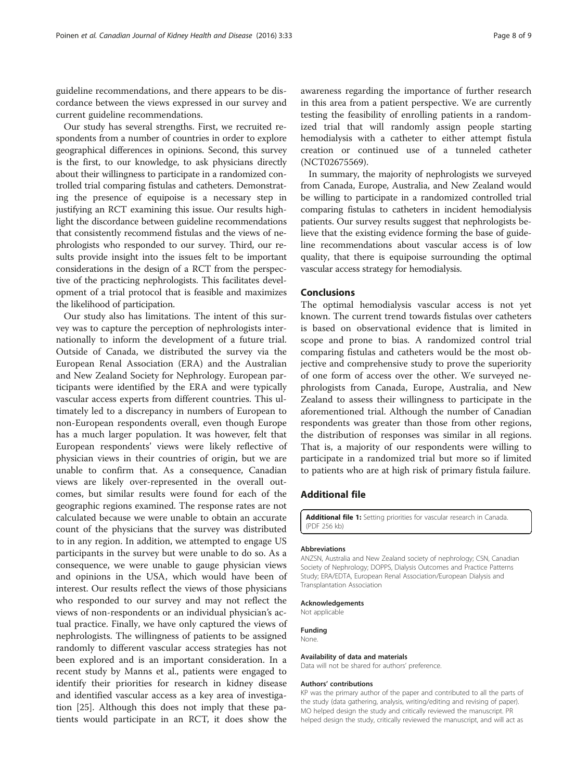<span id="page-7-0"></span>guideline recommendations, and there appears to be discordance between the views expressed in our survey and current guideline recommendations.

Our study has several strengths. First, we recruited respondents from a number of countries in order to explore geographical differences in opinions. Second, this survey is the first, to our knowledge, to ask physicians directly about their willingness to participate in a randomized controlled trial comparing fistulas and catheters. Demonstrating the presence of equipoise is a necessary step in justifying an RCT examining this issue. Our results highlight the discordance between guideline recommendations that consistently recommend fistulas and the views of nephrologists who responded to our survey. Third, our results provide insight into the issues felt to be important considerations in the design of a RCT from the perspective of the practicing nephrologists. This facilitates development of a trial protocol that is feasible and maximizes the likelihood of participation.

Our study also has limitations. The intent of this survey was to capture the perception of nephrologists internationally to inform the development of a future trial. Outside of Canada, we distributed the survey via the European Renal Association (ERA) and the Australian and New Zealand Society for Nephrology. European participants were identified by the ERA and were typically vascular access experts from different countries. This ultimately led to a discrepancy in numbers of European to non-European respondents overall, even though Europe has a much larger population. It was however, felt that European respondents' views were likely reflective of physician views in their countries of origin, but we are unable to confirm that. As a consequence, Canadian views are likely over-represented in the overall outcomes, but similar results were found for each of the geographic regions examined. The response rates are not calculated because we were unable to obtain an accurate count of the physicians that the survey was distributed to in any region. In addition, we attempted to engage US participants in the survey but were unable to do so. As a consequence, we were unable to gauge physician views and opinions in the USA, which would have been of interest. Our results reflect the views of those physicians who responded to our survey and may not reflect the views of non-respondents or an individual physician's actual practice. Finally, we have only captured the views of nephrologists. The willingness of patients to be assigned randomly to different vascular access strategies has not been explored and is an important consideration. In a recent study by Manns et al., patients were engaged to identify their priorities for research in kidney disease and identified vascular access as a key area of investigation [[25](#page-8-0)]. Although this does not imply that these patients would participate in an RCT, it does show the

awareness regarding the importance of further research in this area from a patient perspective. We are currently testing the feasibility of enrolling patients in a randomized trial that will randomly assign people starting hemodialysis with a catheter to either attempt fistula creation or continued use of a tunneled catheter (NCT02675569).

In summary, the majority of nephrologists we surveyed from Canada, Europe, Australia, and New Zealand would be willing to participate in a randomized controlled trial comparing fistulas to catheters in incident hemodialysis patients. Our survey results suggest that nephrologists believe that the existing evidence forming the base of guideline recommendations about vascular access is of low quality, that there is equipoise surrounding the optimal vascular access strategy for hemodialysis.

#### Conclusions

The optimal hemodialysis vascular access is not yet known. The current trend towards fistulas over catheters is based on observational evidence that is limited in scope and prone to bias. A randomized control trial comparing fistulas and catheters would be the most objective and comprehensive study to prove the superiority of one form of access over the other. We surveyed nephrologists from Canada, Europe, Australia, and New Zealand to assess their willingness to participate in the aforementioned trial. Although the number of Canadian respondents was greater than those from other regions, the distribution of responses was similar in all regions. That is, a majority of our respondents were willing to participate in a randomized trial but more so if limited to patients who are at high risk of primary fistula failure.

#### Additional file

[Additional file 1:](dx.doi.org/10.1186/s40697-016-0125-6) Setting priorities for vascular research in Canada. (PDF 256 kb)

#### Abbreviations

ANZSN, Australia and New Zealand society of nephrology; CSN, Canadian Society of Nephrology; DOPPS, Dialysis Outcomes and Practice Patterns Study; ERA/EDTA, European Renal Association/European Dialysis and Transplantation Association

#### Acknowledgements

Not applicable

#### Funding

None.

#### Availability of data and materials

Data will not be shared for authors' preference.

#### Authors' contributions

KP was the primary author of the paper and contributed to all the parts of the study (data gathering, analysis, writing/editing and revising of paper). MO helped design the study and critically reviewed the manuscript. PR helped design the study, critically reviewed the manuscript, and will act as